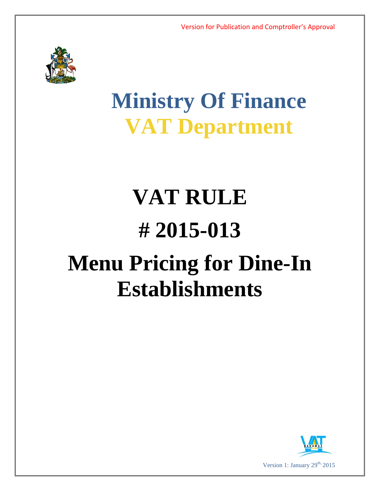

# **Ministry Of Finance VAT Department**

# **VAT RULE # 2015-013 Menu Pricing for Dine-In Establishments**

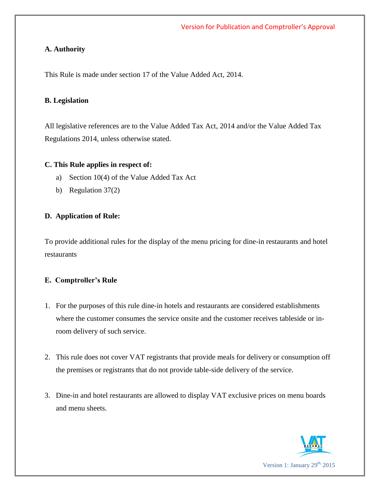### **A. Authority**

This Rule is made under section 17 of the Value Added Act, 2014.

#### **B. Legislation**

All legislative references are to the Value Added Tax Act, 2014 and/or the Value Added Tax Regulations 2014, unless otherwise stated.

#### **C. This Rule applies in respect of:**

- a) Section 10(4) of the Value Added Tax Act
- b) Regulation 37(2)

# **D. Application of Rule:**

To provide additional rules for the display of the menu pricing for dine-in restaurants and hotel restaurants

# **E. Comptroller's Rule**

- 1. For the purposes of this rule dine-in hotels and restaurants are considered establishments where the customer consumes the service onsite and the customer receives tableside or inroom delivery of such service.
- 2. This rule does not cover VAT registrants that provide meals for delivery or consumption off the premises or registrants that do not provide table-side delivery of the service.
- 3. Dine-in and hotel restaurants are allowed to display VAT exclusive prices on menu boards and menu sheets.